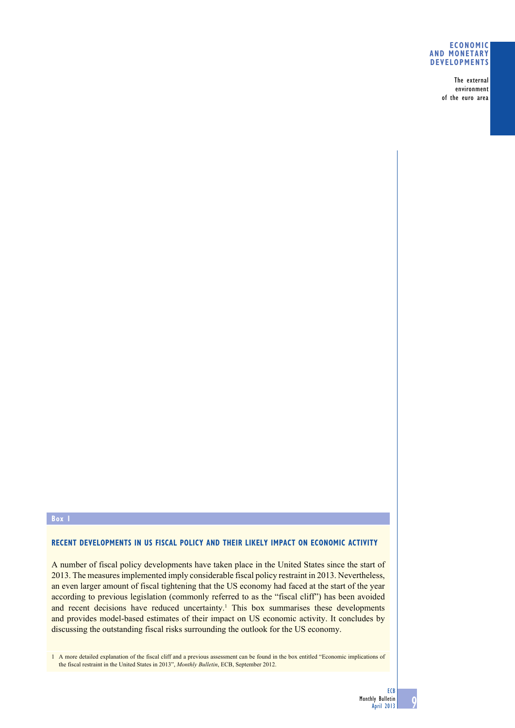### **Economic and monetary developments**

The external environment of the euro area

# **Box 1**

### **RECENT DEVELOPMENTS IN US FISCAL POLICY AND THEIR LIKELY IMPACT ON ECONOMIC ACTIVITY**

A number of fiscal policy developments have taken place in the United States since the start of 2013. The measures implemented imply considerable fiscal policy restraint in 2013. Nevertheless, an even larger amount of fiscal tightening that the US economy had faced at the start of the year according to previous legislation (commonly referred to as the "fiscal cliff") has been avoided and recent decisions have reduced uncertainty.<sup>1</sup> This box summarises these developments and provides model-based estimates of their impact on US economic activity. It concludes by discussing the outstanding fiscal risks surrounding the outlook for the US economy.

1 A more detailed explanation of the fiscal cliff and a previous assessment can be found in the box entitled "Economic implications of the fiscal restraint in the United States in 2013", *Monthly Bulletin*, ECB, September 2012.

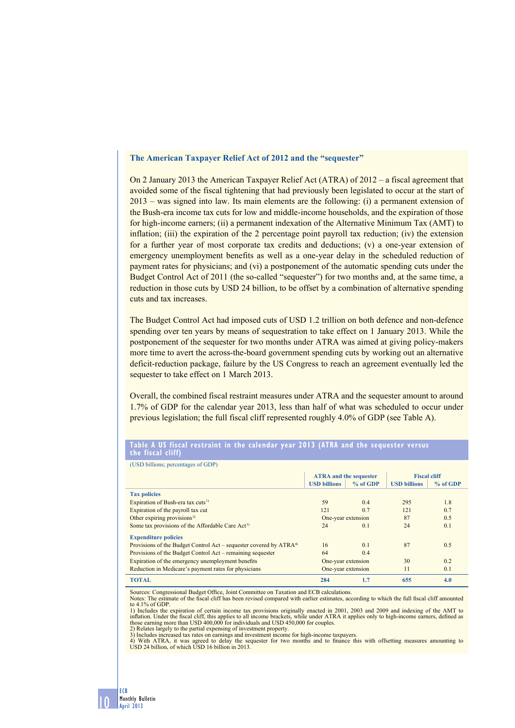## **The American Taxpayer Relief Act of 2012 and the "sequester"**

On 2 January 2013 the American Taxpayer Relief Act (ATRA) of 2012 – a fiscal agreement that avoided some of the fiscal tightening that had previously been legislated to occur at the start of 2013 – was signed into law. Its main elements are the following: (i) a permanent extension of the Bush-era income tax cuts for low and middle-income households, and the expiration of those for high-income earners; (ii) a permanent indexation of the Alternative Minimum Tax (AMT) to inflation; (iii) the expiration of the 2 percentage point payroll tax reduction; (iv) the extension for a further year of most corporate tax credits and deductions; (v) a one-year extension of emergency unemployment benefits as well as a one-year delay in the scheduled reduction of payment rates for physicians; and (vi) a postponement of the automatic spending cuts under the Budget Control Act of 2011 (the so-called "sequester") for two months and, at the same time, a reduction in those cuts by USD 24 billion, to be offset by a combination of alternative spending cuts and tax increases.

The Budget Control Act had imposed cuts of USD 1.2 trillion on both defence and non-defence spending over ten years by means of sequestration to take effect on 1 January 2013. While the postponement of the sequester for two months under ATRA was aimed at giving policy-makers more time to avert the across-the-board government spending cuts by working out an alternative deficit-reduction package, failure by the US Congress to reach an agreement eventually led the sequester to take effect on 1 March 2013.

Overall, the combined fiscal restraint measures under ATRA and the sequester amount to around 1.7% of GDP for the calendar year 2013, less than half of what was scheduled to occur under previous legislation; the full fiscal cliff represented roughly 4.0% of GDP (see Table A).

### **ATRA and the sequester Fiscal cliff USD billions % of GDP USD billions % of GDP Tax policies** Expiration of Bush-era tax cuts<sup>1</sup> 59 0.4 295 1.8<br>
Expiration of the payroll tax cut 121 0.7 121 0.7 121 0.7 Expiration of the payroll tax cut Other expiring provisions<sup>2)</sup> One-year extension 87 0.5 Some tax provisions of the Affordable Care Act<sup>3)</sup> 24 0.1 24 0.1 24 0.1 **Expenditure policies** Provisions of the Budget Control Act – sequester covered by ATRA<sup>4)</sup> 16 0.1 87 0.5 Provisions of the Budget Control Act – remaining sequester 64 0.4 0.4<br>
Expiration of the emergency unemployment benefits One-year extension Expiration of the emergency unemployment benefits **Solution** One-year extension 30 0.2 Reduction in Medicare's payment rates for physicians One-year extension 11 0.1 **TOTAL 284 1.7 655 4.0**

### **table A uS fiscal restraint in the calendar year 2013 (AtRA and the sequester versus the fiscal cliff)**

Sources: Congressional Budget Office, Joint Committee on Taxation and ECB calculations.

Notes: The estimate of the fiscal cliff has been revised compared with earlier estimates, according to which the full fiscal cliff amounted to 4.1% of GDP.

1) Includes the expiration of certain income tax provisions originally enacted in 2001, 2003 and 2009 and indexing of the AMT to inflation. Under the fiscal cliff, this applies to all income brackets, while under ATRA it a those earning more than USD 400,000 for individuals and USD 450,000 for couples.

2) Relates largely to the partial expensing of investment property. 3) Includes increased tax rates on earnings and investment income for high-income taxpayers.

4) With ATRA, it was agreed to delay the sequester for two months and to finance this with offsetting measures amounting to USD 24 billion, of which USD 16 billion in 2013.

(USD billions; percentages of GDP)

10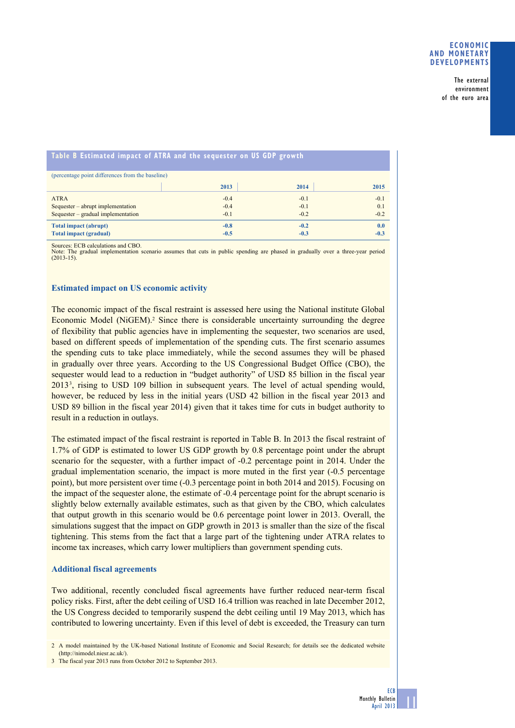### **Economic and monetary developments**

The external environment of the euro area

| Table B Estimated impact of ATRA and the sequester on US GDP growth |        |        |        |
|---------------------------------------------------------------------|--------|--------|--------|
| (percentage point differences from the baseline)                    |        |        |        |
|                                                                     | 2013   | 2014   | 2015   |
| <b>ATRA</b>                                                         | $-0.4$ | $-0.1$ | $-0.1$ |
| Sequester – abrupt implementation                                   | $-0.4$ | $-0.1$ | 0.1    |
| Sequester – gradual implementation                                  | $-0.1$ | $-0.2$ | $-0.2$ |
| <b>Total impact (abrupt)</b>                                        | $-0.8$ | $-0.2$ | 0.0    |
| <b>Total impact (gradual)</b>                                       | $-0.5$ | $-0.3$ | $-0.3$ |

Sources: ECB calculations and CBO.

The gradual implementation scenario assumes that cuts in public spending are phased in gradually over a three-year period Note: The (2013-15).

### **Estimated impact on US economic activity**

The economic impact of the fiscal restraint is assessed here using the National institute Global Economic Model (NiGEM).<sup>2</sup> Since there is considerable uncertainty surrounding the degree of flexibility that public agencies have in implementing the sequester, two scenarios are used, based on different speeds of implementation of the spending cuts. The first scenario assumes the spending cuts to take place immediately, while the second assumes they will be phased in gradually over three years. According to the US Congressional Budget Office (CBO), the sequester would lead to a reduction in "budget authority" of USD 85 billion in the fiscal year 20133 , rising to USD 109 billion in subsequent years. The level of actual spending would, however, be reduced by less in the initial years (USD 42 billion in the fiscal year 2013 and USD 89 billion in the fiscal year 2014) given that it takes time for cuts in budget authority to result in a reduction in outlays.

The estimated impact of the fiscal restraint is reported in Table B. In 2013 the fiscal restraint of 1.7% of GDP is estimated to lower US GDP growth by 0.8 percentage point under the abrupt scenario for the sequester, with a further impact of -0.2 percentage point in 2014. Under the gradual implementation scenario, the impact is more muted in the first year (-0.5 percentage point), but more persistent over time (-0.3 percentage point in both 2014 and 2015). Focusing on the impact of the sequester alone, the estimate of -0.4 percentage point for the abrupt scenario is slightly below externally available estimates, such as that given by the CBO, which calculates that output growth in this scenario would be 0.6 percentage point lower in 2013. Overall, the simulations suggest that the impact on GDP growth in 2013 is smaller than the size of the fiscal tightening. This stems from the fact that a large part of the tightening under ATRA relates to income tax increases, which carry lower multipliers than government spending cuts.

#### **Additional fiscal agreements**

Two additional, recently concluded fiscal agreements have further reduced near-term fiscal policy risks. First, after the debt ceiling of USD 16.4 trillion was reached in late December 2012, the US Congress decided to temporarily suspend the debt ceiling until 19 May 2013, which has contributed to lowering uncertainty. Even if this level of debt is exceeded, the Treasury can turn

2 A model maintained by the UK-based National Institute of Economic and Social Research; for details see the dedicated website (http://nimodel.niesr.ac.uk/).

11